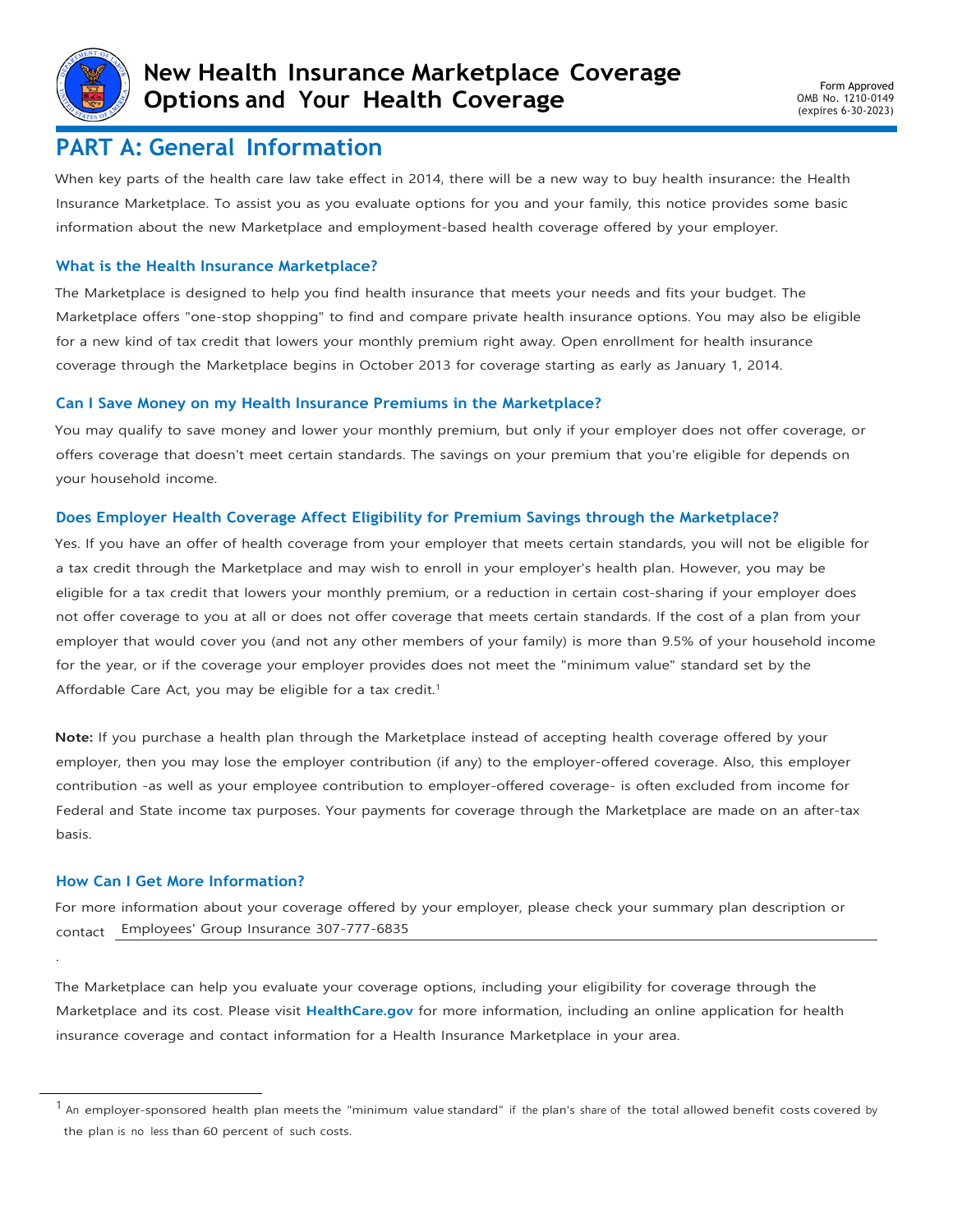

## **PART A: General Information**

When key parts of the health care law take effect in 2014, there will be a new way to buy health insurance: the Health Insurance Marketplace. To assist you as you evaluate options for you and your family, this notice provides some basic information about the new Marketplace and employment-based health coverage offered by your employer.

### **What is the Health Insurance Marketplace?**

The Marketplace is designed to help you find health insurance that meets your needs and fits your budget. The Marketplace offers "one-stop shopping" to find and compare private health insurance options. You may also be eligible for a new kind of tax credit that lowers your monthly premium right away. Open enrollment for health insurance coverage through the Marketplace begins in October 2013 for coverage starting as early as January 1, 2014.

#### **Can I Save Money on my Health Insurance Premiums in the Marketplace?**

You may qualify to save money and lower your monthly premium, but only if your employer does not offer coverage, or offers coverage that doesn't meet certain standards. The savings on your premium that you're eligible for depends on your household income.

### **Does Employer Health Coverage Affect Eligibility for Premium Savings through the Marketplace?**

Yes. If you have an offer of health coverage from your employer that meets certain standards, you will not be eligible for a tax credit through the Marketplace and may wish to enroll in your employer's health plan. However, you may be eligible for a tax credit that lowers your monthly premium, or a reduction in certain cost-sharing if your employer does not offer coverage to you at all or does not offer coverage that meets certain standards. If the cost of a plan from your employer that would cover you (and not any other members of your family) is more than 9.5% of your household income for the year, or if the coverage your employer provides does not meet the "minimum value" standard set by the Affordable Care Act, you may be eligible for a tax credit.<sup>1</sup>

**Note:** If you purchase a health plan through the Marketplace instead of accepting health coverage offered by your employer, then you may lose the employer contribution (if any) to the employer-offered coverage. Also, this employer contribution -as well as your employee contribution to employer-offered coverage- is often excluded from income for Federal and State income tax purposes. Your payments for coverage through the Marketplace are made on an after-tax basis.

#### **How Can I Get More Information?**

.

For more information about your coverage offered by your employer, please check your summary plan description or contact Employees' Group Insurance 307-777-6835

The Marketplace can help you evaluate your coverage options, including your eligibility for coverage through the Marketplace and its cost. Please visit **[HealthCare.gov](http://www.healthcare.gov/)** for more information, including an online application for health insurance coverage and contact information for a Health Insurance Marketplace in your area.

 $<sup>1</sup>$  An employer-sponsored health plan meets the "minimum value standard" if the plan's share of the total allowed benefit costs covered by</sup> the plan is no less than 60 percent of such costs.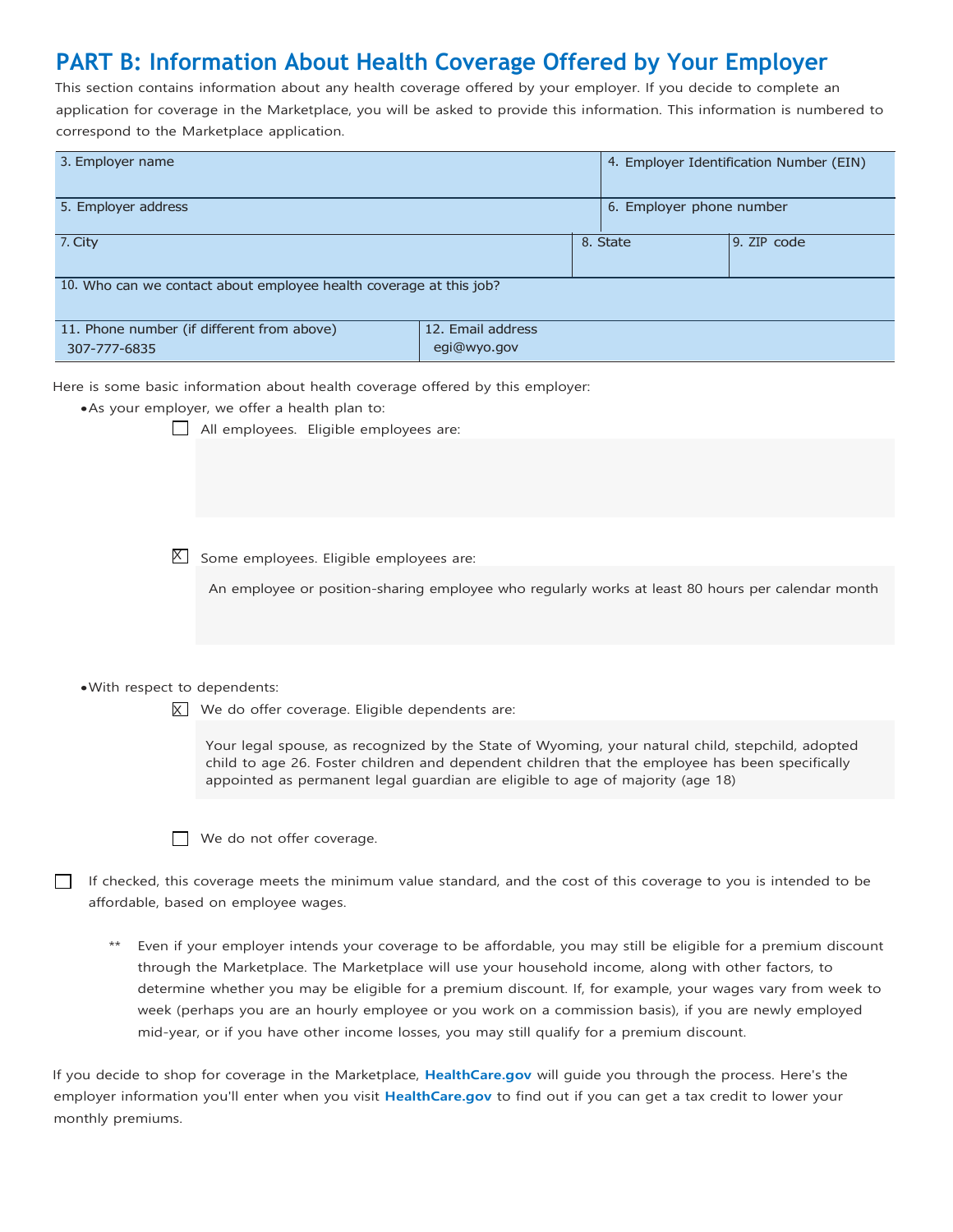# **PART B: Information About Health Coverage Offered by Your Employer**

This section contains information about any health coverage offered by your employer. If you decide to complete an application for coverage in the Marketplace, you will be asked to provide this information. This information is numbered to correspond to the Marketplace application.

| 3. Employer name                                                   | 4. Employer Identification Number (EIN) |  |          |             |  |  |  |  |
|--------------------------------------------------------------------|-----------------------------------------|--|----------|-------------|--|--|--|--|
| 5. Employer address                                                | 6. Employer phone number                |  |          |             |  |  |  |  |
| 7. City                                                            |                                         |  | 8. State | 9. ZIP code |  |  |  |  |
| 10. Who can we contact about employee health coverage at this job? |                                         |  |          |             |  |  |  |  |
| 11. Phone number (if different from above)<br>307-777-6835         | 12. Email address<br>egi@wyo.gov        |  |          |             |  |  |  |  |

Here is some basic information about health coverage offered by this employer:

•As your employer, we offer a health plan to:

All employees. Eligible employees are:

 $\overline{X}$  Some employees. Eligible employees are:

An employee or position-sharing employee who regularly works at least 80 hours per calendar month

#### •With respect to dependents:

 $X$  We do offer coverage. Eligible dependents are:

Your legal spouse, as recognized by the State of Wyoming, your natural child, stepchild, adopted child to age 26. Foster children and dependent children that the employee has been specifically appointed as permanent legal guardian are eligible to age of majority (age 18)

|  |  |  |  |  | We do not offer coverage. |
|--|--|--|--|--|---------------------------|
|--|--|--|--|--|---------------------------|

If checked, this coverage meets the minimum value standard, and the cost of this coverage to you is intended to be  $\Box$ affordable, based on employee wages.

Even if your employer intends your coverage to be affordable, you may still be eligible for a premium discount through the Marketplace. The Marketplace will use your household income, along with other factors, to determine whether you may be eligible for a premium discount. If, for example, your wages vary from week to week (perhaps you are an hourly employee or you work on a commission basis), if you are newly employed mid-year, or if you have other income losses, you may still qualify for a premium discount.

If you decide to shop for coverage in the Marketplace, **[HealthCare.gov](http://www.healthcare.gov/)** will guide you through the process. Here's the employer information you'll enter when you visit **[HealthCare.gov](http://www.healthcare.gov/)** to find out if you can get a tax credit to lower your monthly premiums.